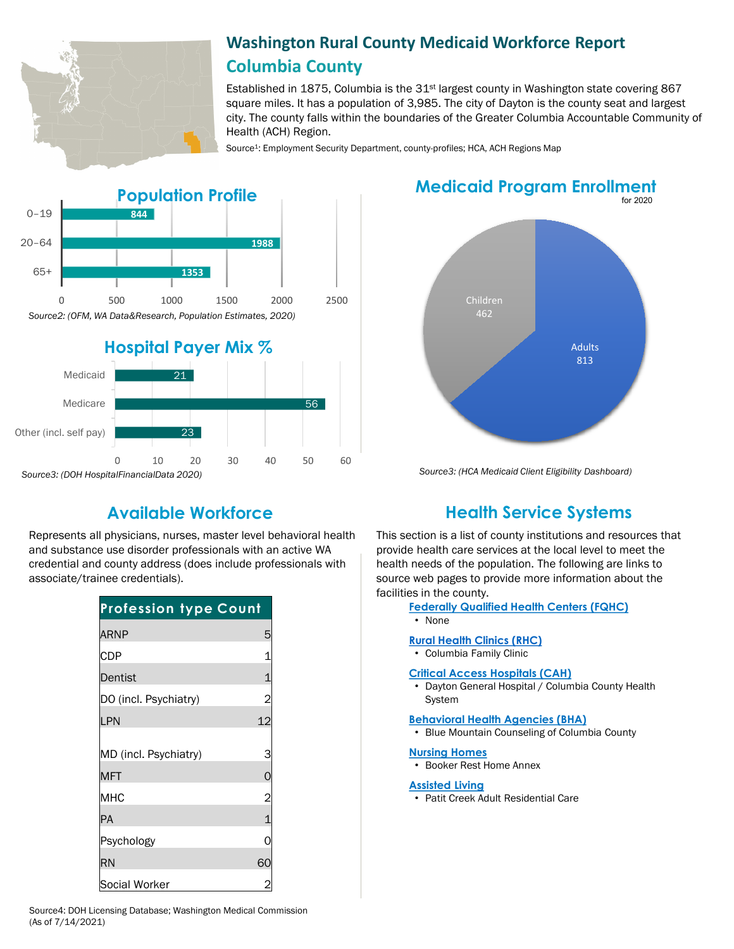

# **Washington Rural County Medicaid Workforce Report Columbia County**

Established in 1875, Columbia is the  $31<sup>st</sup>$  largest county in Washington state covering 867 square miles. It has a population of 3,985. The city of Dayton is the county seat and largest city. The county falls within the boundaries of the Greater Columbia Accountable Community of Health (ACH) Region.

Source<sup>1</sup>: Employment Security Department, county-profiles; HCA, ACH Regions Map



*Source3: (DOH HospitalFinancialData 2020)*

# **Medicaid Program Enrollment**



*Source3: (HCA Medicaid Client Eligibility Dashboard)*

Represents all physicians, nurses, master level behavioral health and substance use disorder professionals with an active WA credential and county address (does include professionals with associate/trainee credentials).

| <b>Profession type Count</b> |                |
|------------------------------|----------------|
| <b>ARNP</b>                  | 5              |
| <b>CDP</b>                   |                |
| Dentist                      |                |
| DO (incl. Psychiatry)        | 2              |
| LPN                          | 12             |
| MD (incl. Psychiatry)        | 3              |
| <b>MFT</b>                   |                |
| <b>MHC</b>                   | $\overline{2}$ |
| PA                           |                |
| Psychology                   |                |
| <b>RN</b>                    | 60             |
| Social Worker                |                |

# **Available Workforce Health Service Systems**

This section is a list of county institutions and resources that provide health care services at the local level to meet the health needs of the population. The following are links to source web pages to provide more information about the facilities in the county.

### **[Federally Qualified Health Centers \(FQHC\)](https://www.doh.wa.gov/ForPublicHealthandHealthcareProviders/RuralHealth/PrimaryCareOffice)**

• None

#### **[Rural Health Clinics \(RHC\)](https://www.doh.wa.gov/ForPublicHealthandHealthcareProviders/RuralHealth/RuralHealthSystems)**

• Columbia Family Clinic

#### **[Critical Access Hospitals \(CAH\)](https://www.doh.wa.gov/ForPublicHealthandHealthcareProviders/RuralHealth/RuralHealthSystems)**

• Dayton General Hospital / Columbia County Health System

#### **[Behavioral Health Agencies \(BHA\)](https://www.doh.wa.gov/LicensesPermitsandCertificates/ProviderCredentialSearch)**

• Blue Mountain Counseling of Columbia County

#### **[Nursing Homes](https://fortress.wa.gov/dshs/adsaapps/lookup/NHPubLookup.aspx)**

• Booker Rest Home Annex

### **[Assisted Living](https://fortress.wa.gov/dshs/adsaapps/lookup/BHPubLookup.aspx)**

• Patit Creek Adult Residential Care